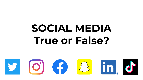### **SOCIAL MEDIA True or False?**

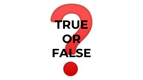

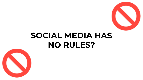

#### SOCIAL MEDIA HAS NO RULES?

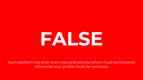# FALSE

Each platform has their own rules and policies which must be followed. Otherwise your profile could be removed.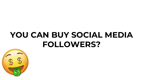### YOU CAN BUY SOCIAL MEDIA FOLLOWERS?

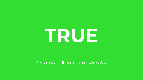## TRUE

#### You can buy followers for as little as 39p.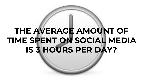### THE AVERAGE AMOUNT OF TIME SPENT ON SOCIAL MEDIA IS 3 HOURS PER DAY?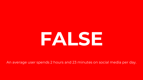# FALSE

An average user spends 2 hours and 23 minutes on social media per day.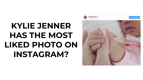### KYLIE JENNER HAS THE MOST LIKED PHOTO ON INSTAGRAM?

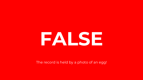## FALSE

#### The record is held by a photo of an egg!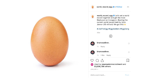

world\_record\_egg & Let's set a world record together and get the most liked post on Instagram. Beating the current world record held by Kylie Jenner (18 million)! We got this

#### #LikeTheEgg #EggSoldiers #EggGang

43w Ð brunosadbno. 1h Reply brunosadbno. 1h 1 like Reply  $\uparrow$ **Comp** Liked by weareadamrecruitment and 53,906,786 others

JANUARY 4

Add a comment...

 $\circ$ 

 $\circ$ 

 $\lambda$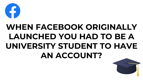

### WHEN FACEBOOK ORIGINALLY LAUNCHED YOU HAD TO BE A UNIVERSITY STUDENT TO HAVE AN ACCOUNT?

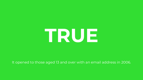## TRUE

It opened to those aged 13 and over with an email address in 2006.